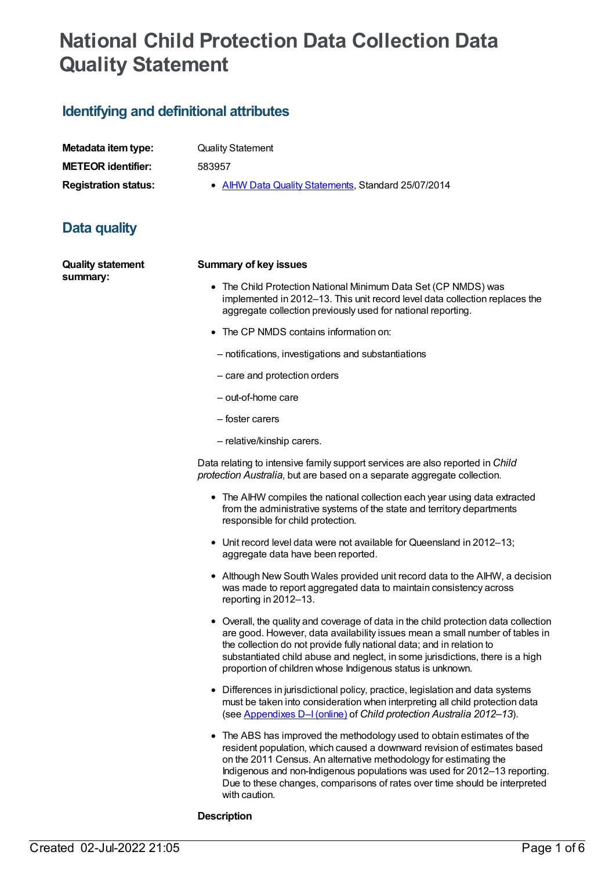# **National Child Protection Data Collection Data Quality Statement**

# **Identifying and definitional attributes**

| Metadata item type:         |
|-----------------------------|
| <b>METEOR identifier:</b>   |
| <b>Registration status:</b> |

**Quality Statement** 

**METEOR identifier:** 583957

**• AIHW Data Quality [Statements](https://meteor.aihw.gov.au/RegistrationAuthority/5), Standard 25/07/2014** 

# **Data quality**

**Quality statement summary:**

#### **Summary of key issues**

- The Child Protection National Minimum Data Set (CP NMDS) was implemented in 2012–13. This unit record level data collection replaces the aggregate collection previously used for national reporting.
- The CP NMDS contains information on:
- notifications, investigations and substantiations
- care and protection orders
- out-of-home care
- foster carers
- relative/kinship carers.

Data relating to intensive family support services are also reported in *Child protection Australia*, but are based on a separate aggregate collection.

- The AIHW compiles the national collection each year using data extracted from the administrative systems of the state and territory departments responsible for child protection.
- Unit record level data were not available for Queensland in 2012–13; aggregate data have been reported.
- Although New South Wales provided unit record data to the AIHW, a decision was made to report aggregated data to maintain consistency across reporting in 2012–13.
- Overall, the quality and coverage of data in the child protection data collection are good. However, data availability issues mean a small number of tables in the collection do not provide fully national data; and in relation to substantiated child abuse and neglect, in some jurisdictions, there is a high proportion of children whose Indigenous status is unknown.
- Differences in jurisdictional policy, practice, legislation and data systems must be taken into consideration when interpreting all child protection data (see [Appendixes](http://www.aihw.gov.au/publication-detail/?id=60129547965&tab=3) D–I(online) of *Child protection Australia 2012–13*).
- The ABS has improved the methodology used to obtain estimates of the resident population, which caused a downward revision of estimates based on the 2011 Census. An alternative methodology for estimating the Indigenous and non-Indigenous populations was used for 2012–13 reporting. Due to these changes, comparisons of rates over time should be interpreted with caution.

#### **Description**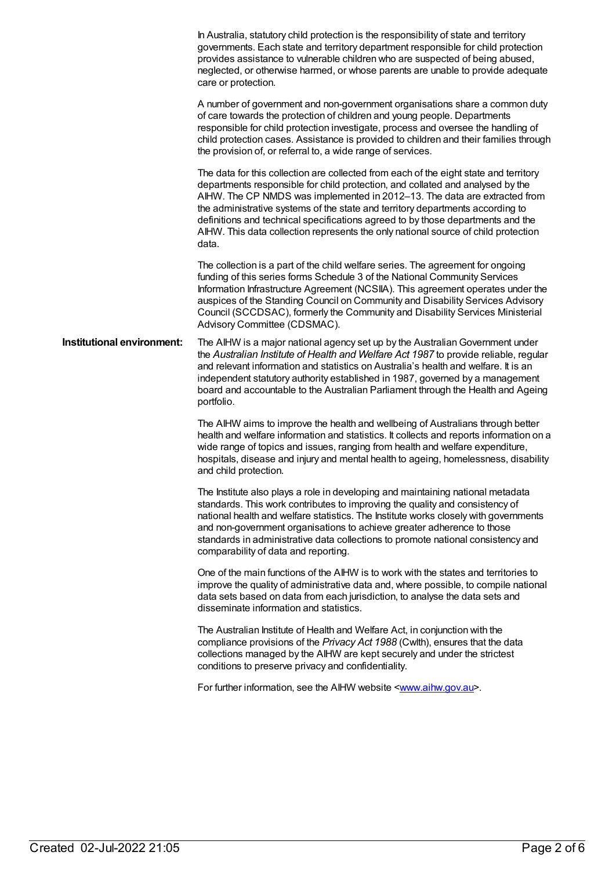In Australia, statutory child protection is the responsibility of state and territory governments. Each state and territory department responsible for child protection provides assistance to vulnerable children who are suspected of being abused, neglected, or otherwise harmed, or whose parents are unable to provide adequate care or protection. A number of government and non-government organisations share a common duty of care towards the protection of children and young people. Departments responsible for child protection investigate, process and oversee the handling of child protection cases. Assistance is provided to children and their families through the provision of, or referral to, a wide range of services. The data for this collection are collected from each of the eight state and territory departments responsible for child protection, and collated and analysed by the AIHW. The CP NMDS was implemented in 2012–13. The data are extracted from the administrative systems of the state and territory departments according to definitions and technical specifications agreed to by those departments and the AIHW. This data collection represents the only national source of child protection data. The collection is a part of the child welfare series. The agreement for ongoing funding of this series forms Schedule 3 of the National Community Services Information Infrastructure Agreement (NCSIIA). This agreement operates under the auspices of the Standing Council on Community and Disability Services Advisory Council (SCCDSAC), formerly the Community and Disability Services Ministerial Advisory Committee (CDSMAC). **Institutional environment:** The AIHW is a major national agency set up by the Australian Government under the *Australian Institute of Health and Welfare Act 1987* to provide reliable, regular and relevant information and statistics on Australia's health and welfare. It is an independent statutory authority established in 1987, governed by a management board and accountable to the Australian Parliament through the Health and Ageing portfolio. The AIHW aims to improve the health and wellbeing of Australians through better health and welfare information and statistics. It collects and reports information on a wide range of topics and issues, ranging from health and welfare expenditure, hospitals, disease and injury and mental health to ageing, homelessness, disability and child protection. The Institute also plays a role in developing and maintaining national metadata standards. This work contributes to improving the quality and consistency of national health and welfare statistics. The Institute works closely with governments and non-government organisations to achieve greater adherence to those standards in administrative data collections to promote national consistency and comparability of data and reporting. One of the main functions of the AIHW is to work with the states and territories to improve the quality of administrative data and, where possible, to compile national data sets based on data from each jurisdiction, to analyse the data sets and disseminate information and statistics. The Australian Institute of Health and Welfare Act, in conjunction with the compliance provisions of the *Privacy Act 1988* (Cwlth), ensures that the data collections managed by the AIHW are kept securely and under the strictest conditions to preserve privacy and confidentiality. For further information, see the AIHW website [<www.aihw.gov.au](http://www.aihw.gov.au)>.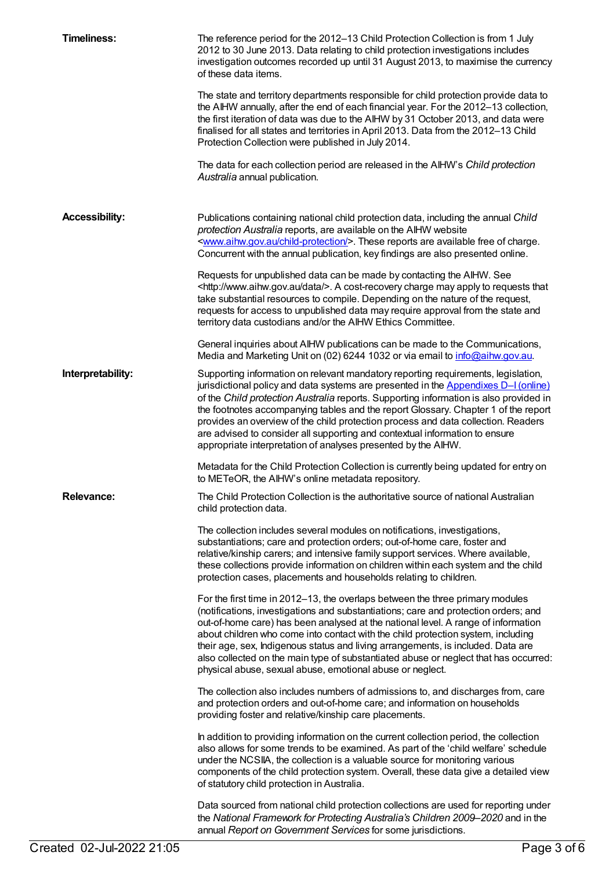| <b>Timeliness:</b>    | The reference period for the 2012-13 Child Protection Collection is from 1 July<br>2012 to 30 June 2013. Data relating to child protection investigations includes<br>investigation outcomes recorded up until 31 August 2013, to maximise the currency<br>of these data items.<br>The state and territory departments responsible for child protection provide data to<br>the AIHW annually, after the end of each financial year. For the 2012-13 collection,                                                                                                                              |
|-----------------------|----------------------------------------------------------------------------------------------------------------------------------------------------------------------------------------------------------------------------------------------------------------------------------------------------------------------------------------------------------------------------------------------------------------------------------------------------------------------------------------------------------------------------------------------------------------------------------------------|
|                       | the first iteration of data was due to the AIHW by 31 October 2013, and data were<br>finalised for all states and territories in April 2013. Data from the 2012-13 Child<br>Protection Collection were published in July 2014.                                                                                                                                                                                                                                                                                                                                                               |
|                       | The data for each collection period are released in the AIHW's Child protection<br>Australia annual publication.                                                                                                                                                                                                                                                                                                                                                                                                                                                                             |
| <b>Accessibility:</b> | Publications containing national child protection data, including the annual Child<br>protection Australia reports, are available on the AIHW website<br><www.aihw.gov.au child-protection=""></www.aihw.gov.au> . These reports are available free of charge.<br>Concurrent with the annual publication, key findings are also presented online.                                                                                                                                                                                                                                            |
|                       | Requests for unpublished data can be made by contacting the AIHW. See<br><http: data="" www.aihw.gov.au=""></http:> . A cost-recovery charge may apply to requests that<br>take substantial resources to compile. Depending on the nature of the request,<br>requests for access to unpublished data may require approval from the state and<br>territory data custodians and/or the AIHW Ethics Committee.                                                                                                                                                                                  |
|                       | General inquiries about AIHW publications can be made to the Communications,<br>Media and Marketing Unit on (02) 6244 1032 or via email to info@aihw.gov.au.                                                                                                                                                                                                                                                                                                                                                                                                                                 |
| Interpretability:     | Supporting information on relevant mandatory reporting requirements, legislation,<br>jurisdictional policy and data systems are presented in the Appendixes D-I (online)<br>of the Child protection Australia reports. Supporting information is also provided in<br>the footnotes accompanying tables and the report Glossary. Chapter 1 of the report<br>provides an overview of the child protection process and data collection. Readers<br>are advised to consider all supporting and contextual information to ensure<br>appropriate interpretation of analyses presented by the AIHW. |
|                       | Metadata for the Child Protection Collection is currently being updated for entry on<br>to METeOR, the AIHW's online metadata repository.                                                                                                                                                                                                                                                                                                                                                                                                                                                    |
| <b>Relevance:</b>     | The Child Protection Collection is the authoritative source of national Australian<br>child protection data.                                                                                                                                                                                                                                                                                                                                                                                                                                                                                 |
|                       | The collection includes several modules on notifications, investigations,<br>substantiations; care and protection orders; out-of-home care, foster and<br>relative/kinship carers; and intensive family support services. Where available,<br>these collections provide information on children within each system and the child<br>protection cases, placements and households relating to children.                                                                                                                                                                                        |
|                       | For the first time in 2012-13, the overlaps between the three primary modules<br>(notifications, investigations and substantiations; care and protection orders; and<br>out-of-home care) has been analysed at the national level. A range of information<br>about children who come into contact with the child protection system, including<br>their age, sex, Indigenous status and living arrangements, is included. Data are<br>also collected on the main type of substantiated abuse or neglect that has occurred:<br>physical abuse, sexual abuse, emotional abuse or neglect.       |
|                       | The collection also includes numbers of admissions to, and discharges from, care<br>and protection orders and out-of-home care; and information on households<br>providing foster and relative/kinship care placements.                                                                                                                                                                                                                                                                                                                                                                      |
|                       | In addition to providing information on the current collection period, the collection<br>also allows for some trends to be examined. As part of the 'child welfare' schedule<br>under the NCSIIA, the collection is a valuable source for monitoring various<br>components of the child protection system. Overall, these data give a detailed view<br>of statutory child protection in Australia.                                                                                                                                                                                           |
|                       | Data sourced from national child protection collections are used for reporting under<br>the National Framework for Protecting Australia's Children 2009-2020 and in the<br>annual Report on Government Services for some jurisdictions.                                                                                                                                                                                                                                                                                                                                                      |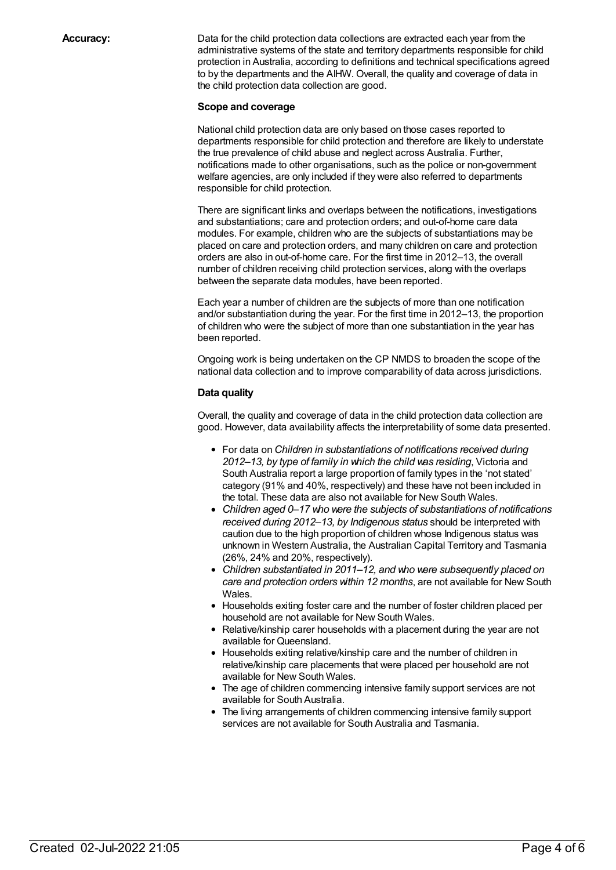**Accuracy:** Data for the child protection data collections are extracted each year from the administrative systems of the state and territory departments responsible for child protection in Australia, according to definitions and technical specifications agreed to by the departments and the AIHW. Overall, the quality and coverage of data in the child protection data collection are good.

#### **Scope and coverage**

National child protection data are only based on those cases reported to departments responsible for child protection and therefore are likely to understate the true prevalence of child abuse and neglect across Australia. Further, notifications made to other organisations, such as the police or non-government welfare agencies, are only included if they were also referred to departments responsible for child protection.

There are significant links and overlaps between the notifications, investigations and substantiations; care and protection orders; and out-of-home care data modules. For example, children who are the subjects of substantiations may be placed on care and protection orders, and many children on care and protection orders are also in out-of-home care. For the first time in 2012–13, the overall number of children receiving child protection services, along with the overlaps between the separate data modules, have been reported.

Each year a number of children are the subjects of more than one notification and/or substantiation during the year. For the first time in 2012–13, the proportion of children who were the subject of more than one substantiation in the year has been reported.

Ongoing work is being undertaken on the CP NMDS to broaden the scope of the national data collection and to improve comparability of data across jurisdictions.

#### **Data quality**

Overall, the quality and coverage of data in the child protection data collection are good. However, data availability affects the interpretability of some data presented.

- For data on *Children in substantiations of notifications received during 2012–13, by type of family in which the child was residing*, Victoria and South Australia report a large proportion of family types in the 'not stated' category (91% and 40%, respectively) and these have not been included in the total. These data are also not available for New South Wales.
- *Children aged 0–17 who were the subjects of substantiations of notifications received during 2012–13, by Indigenous status* should be interpreted with caution due to the high proportion of children whose Indigenous status was unknown in Western Australia, the Australian Capital Territory and Tasmania (26%, 24% and 20%, respectively).
- *Children substantiated in 2011–12, and who were subsequently placed on care and protection orders within 12 months*, are not available for New South Wales.
- Households exiting foster care and the number of foster children placed per household are not available for New South Wales.
- Relative/kinship carer households with a placement during the year are not available for Queensland.
- Households exiting relative/kinship care and the number of children in relative/kinship care placements that were placed per household are not available for New South Wales.
- The age of children commencing intensive family support services are not available for South Australia.
- The living arrangements of children commencing intensive family support services are not available for South Australia and Tasmania.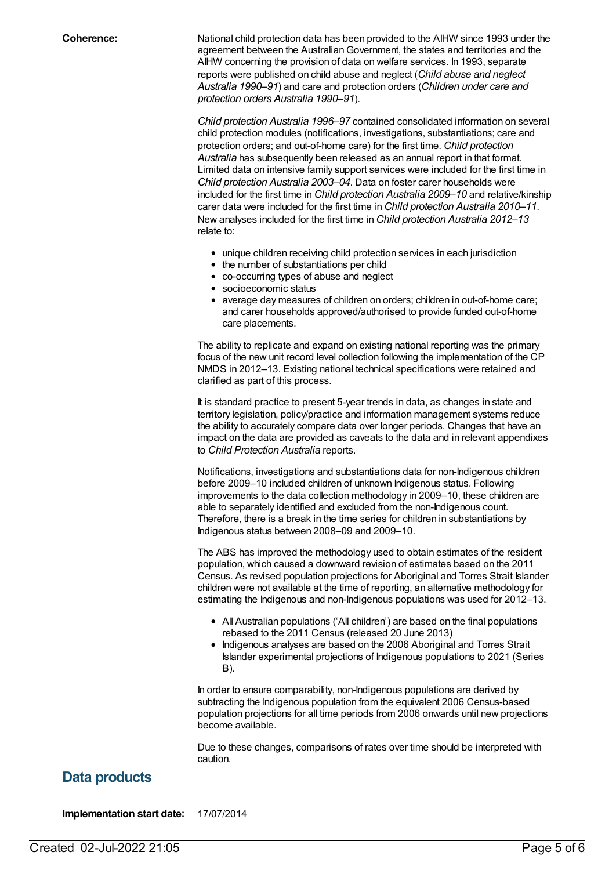**Coherence:** National child protection data has been provided to the AIHW since 1993 under the agreement between the Australian Government, the states and territories and the AIHW concerning the provision of data on welfare services. In 1993, separate reports were published on child abuse and neglect (*Child abuse and neglect Australia 1990–91*) and care and protection orders (*Children under care and protection orders Australia 1990–91*).

> *Child protection Australia 1996–97* contained consolidated information on several child protection modules (notifications, investigations, substantiations; care and protection orders; and out-of-home care) for the first time. *Child protection Australia* has subsequently been released as an annual report in that format. Limited data on intensive family support services were included for the first time in *Child protection Australia 2003–04*. Data on foster carer households were included for the first time in *Child protection Australia 2009–10* and relative/kinship carer data were included for the first time in *Child protection Australia 2010–11*. New analyses included for the first time in *Child protection Australia 2012–13* relate to:

- unique children receiving child protection services in each jurisdiction
- the number of substantiations per child
- co-occurring types of abuse and neglect
- socioeconomic status
- average day measures of children on orders; children in out-of-home care; and carer households approved/authorised to provide funded out-of-home care placements.

The ability to replicate and expand on existing national reporting was the primary focus of the new unit record level collection following the implementation of the CP NMDS in 2012–13. Existing national technical specifications were retained and clarified as part of this process.

It is standard practice to present 5-year trends in data, as changes in state and territory legislation, policy/practice and information management systems reduce the ability to accurately compare data over longer periods. Changes that have an impact on the data are provided as caveats to the data and in relevant appendixes to *Child Protection Australia* reports.

Notifications, investigations and substantiations data for non-Indigenous children before 2009–10 included children of unknown Indigenous status. Following improvements to the data collection methodology in 2009–10, these children are able to separately identified and excluded from the non-Indigenous count. Therefore, there is a break in the time series for children in substantiations by Indigenous status between 2008–09 and 2009–10.

The ABS has improved the methodology used to obtain estimates of the resident population, which caused a downward revision of estimates based on the 2011 Census. As revised population projections for Aboriginal and Torres Strait Islander children were not available at the time of reporting, an alternative methodology for estimating the Indigenous and non-Indigenous populations was used for 2012–13.

- All Australian populations ('All children') are based on the final populations rebased to the 2011 Census (released 20 June 2013)
- Indigenous analyses are based on the 2006 Aboriginal and Torres Strait Islander experimental projections of Indigenous populations to 2021 (Series B).

In order to ensure comparability, non-Indigenous populations are derived by subtracting the Indigenous population from the equivalent 2006 Census-based population projections for all time periods from 2006 onwards until new projections become available.

Due to these changes, comparisons of rates over time should be interpreted with caution.

### **Data products**

**Implementation start date:** 17/07/2014